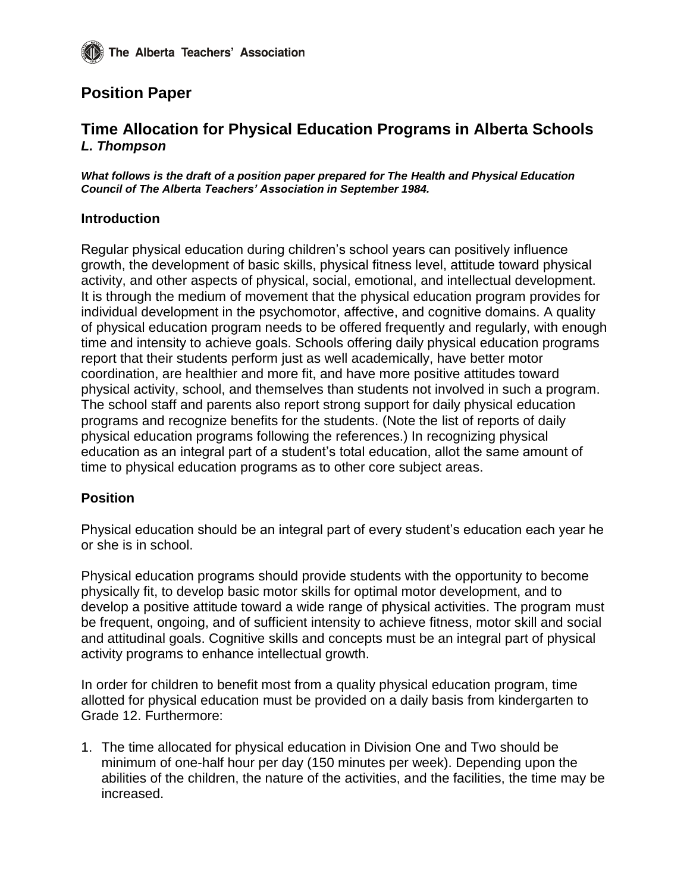# **Position Paper**

# **Time Allocation for Physical Education Programs in Alberta Schools** *L. Thompson*

*What follows is the draft of a position paper prepared for The Health and Physical Education Council of The Alberta Teachers' Association in September 1984.*

## **Introduction**

Regular physical education during children's school years can positively influence growth, the development of basic skills, physical fitness level, attitude toward physical activity, and other aspects of physical, social, emotional, and intellectual development. It is through the medium of movement that the physical education program provides for individual development in the psychomotor, affective, and cognitive domains. A quality of physical education program needs to be offered frequently and regularly, with enough time and intensity to achieve goals. Schools offering daily physical education programs report that their students perform just as well academically, have better motor coordination, are healthier and more fit, and have more positive attitudes toward physical activity, school, and themselves than students not involved in such a program. The school staff and parents also report strong support for daily physical education programs and recognize benefits for the students. (Note the list of reports of daily physical education programs following the references.) In recognizing physical education as an integral part of a student's total education, allot the same amount of time to physical education programs as to other core subject areas.

#### **Position**

Physical education should be an integral part of every student's education each year he or she is in school.

Physical education programs should provide students with the opportunity to become physically fit, to develop basic motor skills for optimal motor development, and to develop a positive attitude toward a wide range of physical activities. The program must be frequent, ongoing, and of sufficient intensity to achieve fitness, motor skill and social and attitudinal goals. Cognitive skills and concepts must be an integral part of physical activity programs to enhance intellectual growth.

In order for children to benefit most from a quality physical education program, time allotted for physical education must be provided on a daily basis from kindergarten to Grade 12. Furthermore:

1. The time allocated for physical education in Division One and Two should be minimum of one-half hour per day (150 minutes per week). Depending upon the abilities of the children, the nature of the activities, and the facilities, the time may be increased.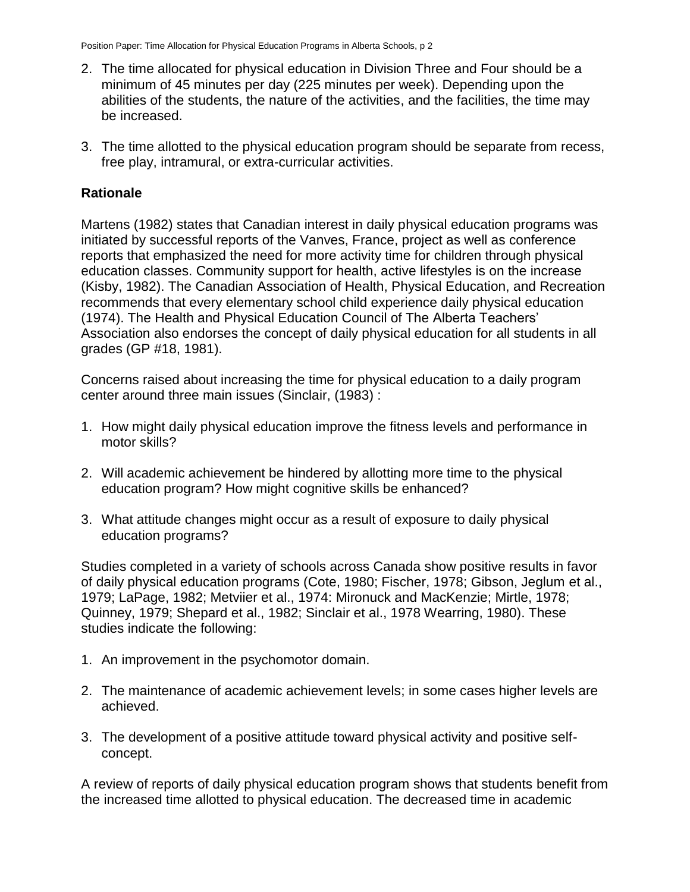- 2. The time allocated for physical education in Division Three and Four should be a minimum of 45 minutes per day (225 minutes per week). Depending upon the abilities of the students, the nature of the activities, and the facilities, the time may be increased.
- 3. The time allotted to the physical education program should be separate from recess, free play, intramural, or extra-curricular activities.

## **Rationale**

Martens (1982) states that Canadian interest in daily physical education programs was initiated by successful reports of the Vanves, France, project as well as conference reports that emphasized the need for more activity time for children through physical education classes. Community support for health, active lifestyles is on the increase (Kisby, 1982). The Canadian Association of Health, Physical Education, and Recreation recommends that every elementary school child experience daily physical education (1974). The Health and Physical Education Council of The Alberta Teachers' Association also endorses the concept of daily physical education for all students in all grades (GP #18, 1981).

Concerns raised about increasing the time for physical education to a daily program center around three main issues (Sinclair, (1983) :

- 1. How might daily physical education improve the fitness levels and performance in motor skills?
- 2. Will academic achievement be hindered by allotting more time to the physical education program? How might cognitive skills be enhanced?
- 3. What attitude changes might occur as a result of exposure to daily physical education programs?

Studies completed in a variety of schools across Canada show positive results in favor of daily physical education programs (Cote, 1980; Fischer, 1978; Gibson, Jeglum et al., 1979; LaPage, 1982; Metviier et al., 1974: Mironuck and MacKenzie; Mirtle, 1978; Quinney, 1979; Shepard et al., 1982; Sinclair et al., 1978 Wearring, 1980). These studies indicate the following:

- 1. An improvement in the psychomotor domain.
- 2. The maintenance of academic achievement levels; in some cases higher levels are achieved.
- 3. The development of a positive attitude toward physical activity and positive selfconcept.

A review of reports of daily physical education program shows that students benefit from the increased time allotted to physical education. The decreased time in academic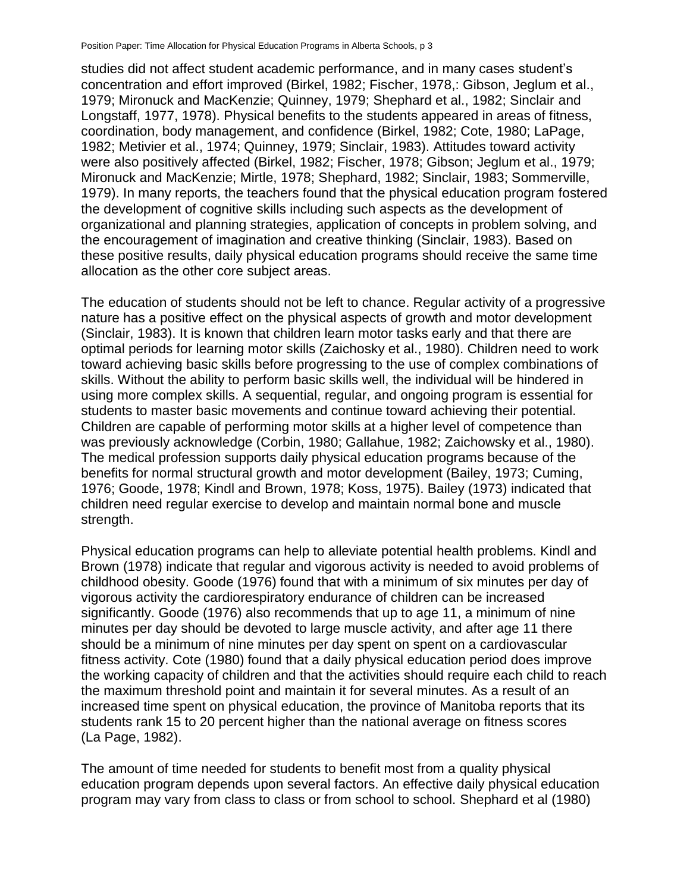Position Paper: Time Allocation for Physical Education Programs in Alberta Schools, p 3

studies did not affect student academic performance, and in many cases student's concentration and effort improved (Birkel, 1982; Fischer, 1978,: Gibson, Jeglum et al., 1979; Mironuck and MacKenzie; Quinney, 1979; Shephard et al., 1982; Sinclair and Longstaff, 1977, 1978). Physical benefits to the students appeared in areas of fitness, coordination, body management, and confidence (Birkel, 1982; Cote, 1980; LaPage, 1982; Metivier et al., 1974; Quinney, 1979; Sinclair, 1983). Attitudes toward activity were also positively affected (Birkel, 1982; Fischer, 1978; Gibson; Jeglum et al., 1979; Mironuck and MacKenzie; Mirtle, 1978; Shephard, 1982; Sinclair, 1983; Sommerville, 1979). In many reports, the teachers found that the physical education program fostered the development of cognitive skills including such aspects as the development of organizational and planning strategies, application of concepts in problem solving, and the encouragement of imagination and creative thinking (Sinclair, 1983). Based on these positive results, daily physical education programs should receive the same time allocation as the other core subject areas.

The education of students should not be left to chance. Regular activity of a progressive nature has a positive effect on the physical aspects of growth and motor development (Sinclair, 1983). It is known that children learn motor tasks early and that there are optimal periods for learning motor skills (Zaichosky et al., 1980). Children need to work toward achieving basic skills before progressing to the use of complex combinations of skills. Without the ability to perform basic skills well, the individual will be hindered in using more complex skills. A sequential, regular, and ongoing program is essential for students to master basic movements and continue toward achieving their potential. Children are capable of performing motor skills at a higher level of competence than was previously acknowledge (Corbin, 1980; Gallahue, 1982; Zaichowsky et al., 1980). The medical profession supports daily physical education programs because of the benefits for normal structural growth and motor development (Bailey, 1973; Cuming, 1976; Goode, 1978; Kindl and Brown, 1978; Koss, 1975). Bailey (1973) indicated that children need regular exercise to develop and maintain normal bone and muscle strength.

Physical education programs can help to alleviate potential health problems. Kindl and Brown (1978) indicate that regular and vigorous activity is needed to avoid problems of childhood obesity. Goode (1976) found that with a minimum of six minutes per day of vigorous activity the cardiorespiratory endurance of children can be increased significantly. Goode (1976) also recommends that up to age 11, a minimum of nine minutes per day should be devoted to large muscle activity, and after age 11 there should be a minimum of nine minutes per day spent on spent on a cardiovascular fitness activity. Cote (1980) found that a daily physical education period does improve the working capacity of children and that the activities should require each child to reach the maximum threshold point and maintain it for several minutes. As a result of an increased time spent on physical education, the province of Manitoba reports that its students rank 15 to 20 percent higher than the national average on fitness scores (La Page, 1982).

The amount of time needed for students to benefit most from a quality physical education program depends upon several factors. An effective daily physical education program may vary from class to class or from school to school. Shephard et al (1980)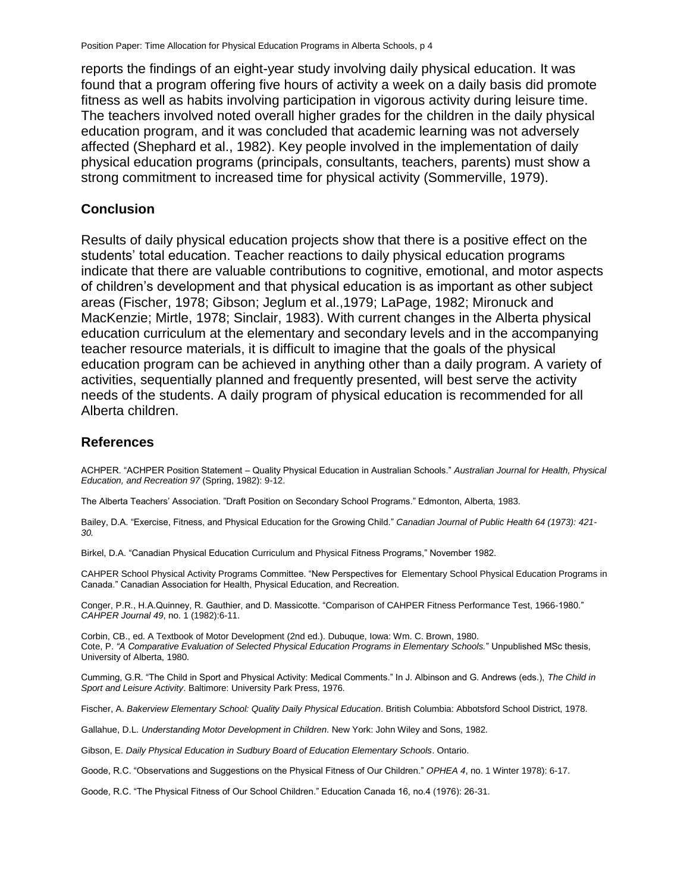reports the findings of an eight-year study involving daily physical education. It was found that a program offering five hours of activity a week on a daily basis did promote fitness as well as habits involving participation in vigorous activity during leisure time. The teachers involved noted overall higher grades for the children in the daily physical education program, and it was concluded that academic learning was not adversely affected (Shephard et al., 1982). Key people involved in the implementation of daily physical education programs (principals, consultants, teachers, parents) must show a strong commitment to increased time for physical activity (Sommerville, 1979).

#### **Conclusion**

Results of daily physical education projects show that there is a positive effect on the students' total education. Teacher reactions to daily physical education programs indicate that there are valuable contributions to cognitive, emotional, and motor aspects of children's development and that physical education is as important as other subject areas (Fischer, 1978; Gibson; Jeglum et al.,1979; LaPage, 1982; Mironuck and MacKenzie; Mirtle, 1978; Sinclair, 1983). With current changes in the Alberta physical education curriculum at the elementary and secondary levels and in the accompanying teacher resource materials, it is difficult to imagine that the goals of the physical education program can be achieved in anything other than a daily program. A variety of activities, sequentially planned and frequently presented, will best serve the activity needs of the students. A daily program of physical education is recommended for all Alberta children.

#### **References**

ACHPER. "ACHPER Position Statement – Quality Physical Education in Australian Schools." *Australian Journal for Health, Physical Education, and Recreation 97* (Spring, 1982): 9-12.

The Alberta Teachers' Association. "Draft Position on Secondary School Programs." Edmonton, Alberta, 1983.

Bailey, D.A. "Exercise, Fitness, and Physical Education for the Growing Child." *Canadian Journal of Public Health 64 (1973): 421- 30.*

Birkel, D.A. "Canadian Physical Education Curriculum and Physical Fitness Programs," November 1982.

CAHPER School Physical Activity Programs Committee. "New Perspectives for Elementary School Physical Education Programs in Canada." Canadian Association for Health, Physical Education, and Recreation.

Conger, P.R., H.A.Quinney, R. Gauthier, and D. Massicotte. "Comparison of CAHPER Fitness Performance Test, 1966-1980." *CAHPER Journal 49*, no. 1 (1982):6-11.

Corbin, CB., ed. A Textbook of Motor Development (2nd ed.). Dubuque, Iowa: Wm. C. Brown, 1980. Cote, P. *"A Comparative Evaluation of Selected Physical Education Programs in Elementary Schools.*" Unpublished MSc thesis, University of Alberta, 1980.

Cumming, G.R. "The Child in Sport and Physical Activity: Medical Comments." In J. Albinson and G. Andrews (eds.), *The Child in Sport and Leisure Activity*. Baltimore: University Park Press, 1976.

Fischer, A. *Bakerview Elementary School: Quality Daily Physical Education*. British Columbia: Abbotsford School District, 1978.

Gallahue, D.L. *Understanding Motor Development in Children*. New York: John Wiley and Sons, 1982.

Gibson, E. *Daily Physical Education in Sudbury Board of Education Elementary Schools*. Ontario.

Goode, R.C. "Observations and Suggestions on the Physical Fitness of Our Children." *OPHEA 4*, no. 1 Winter 1978): 6-17.

Goode, R.C. "The Physical Fitness of Our School Children." Education Canada 16, no.4 (1976): 26-31.